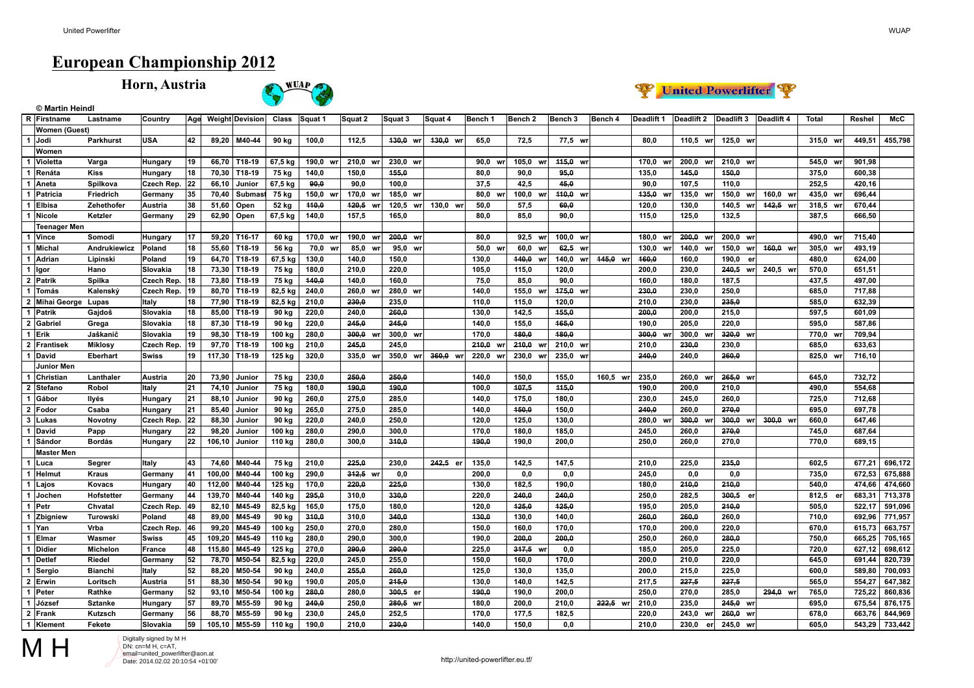**© Martin Heindl**

## **European Championship 2012**

**Horn, Austria**





|                         | R Firstname          | Lastname       | Country              | Age             |                | <b>Weight Devision</b> | Class   | Squat 1  | Squat 2     | Squat 3      | Squat 4  | Bench 1    | Bench <sub>2</sub> | Bench 3     | Bench 4  | Deadlift 1  | Deadlift 2   | Deadlift 3  | Deadlift 4  | Total       | Reshel | McC     |
|-------------------------|----------------------|----------------|----------------------|-----------------|----------------|------------------------|---------|----------|-------------|--------------|----------|------------|--------------------|-------------|----------|-------------|--------------|-------------|-------------|-------------|--------|---------|
|                         | <b>Women (Guest)</b> |                |                      |                 |                |                        |         |          |             |              |          |            |                    |             |          |             |              |             |             |             |        |         |
|                         | 1 Jodi               | Parkhurst      | <b>USA</b>           | 42              | 89,20          | M40-44                 | 90 kg   | 100,0    | 112,5       | $130,0$ wr   | 430,0 wr | 65,0       | 72,5               | 77,5 wr     |          | 80,0        | 110,5 wr     | 125,0 wr    |             | 315,0 wr    | 449,51 | 455,798 |
|                         | Women                |                |                      |                 |                |                        |         |          |             |              |          |            |                    |             |          |             |              |             |             |             |        |         |
| $\mathbf{1}$            | Violetta             | Varga          | Hungary              | 19              | 66.70          | T18-19                 | 67,5 kg | 190.0    | 210.0       | 230,0 wr     |          | 90.0 w     | 105.0 w            | 445,0<br>wr |          | 170.0<br>W  | 200.0<br>wr  | 210.0<br>wr |             | 545,0<br>wr | 901,98 |         |
| 1                       | Renáta               | <b>Kiss</b>    | Hungary              | 18              | 70,30          | T18-19                 | 75 kg   | 140,0    | 150,0       | 455,0        |          | 80,0       | 90.0               | 95,0        |          | 135,0       | 445,0        | 450,0       |             | 375,0       | 600.38 |         |
| 1                       | Aneta                | Spilkova       | Czech Rep.           | 22              | 66,10          | Junior                 | 67,5 kg | 90,0     | 90,0        | 100,0        |          | 37,5       | 42,5               | 45,0        |          | 90,0        | 107,5        | 110,0       |             | 252,5       | 420,16 |         |
|                         | Patricia             | Friedrich      | Germany              | 35              | 70,40          | <b>Submas</b>          | 75 kg   | 150,0 wi | 170,0 w     | 185,0 wr     |          | 80,0 w     | 100,0 wr           | 110,0<br>wr |          | 135,0<br>W  | 135,0<br>wr  | 150,0<br>WI | 160,0<br>wr | 435,0 wr    | 696,44 |         |
|                         | <b>Elbisa</b>        | Zehethofer     | Austria              | 38              | 51,60          | Open                   | 52 kg   | 110,0    | 120,5<br>W  | 120,5<br>wrl | 130.0 wr | 50,0       | 57,5               | 60,0        |          | 120,0       | 130,0        | 140.5<br>wr | 442,5 wr    | 318,5 wr    | 670,44 |         |
| 1                       | Nicole               | Ketzler        | Germany              | 29              | 62,90          | Open                   | 67,5 kg | 140,0    | 157,5       | 165,0        |          | 80,0       | 85,0               | 90,0        |          | 115,0       | 125,0        | 132,5       |             | 387,5       | 666,50 |         |
|                         | <b>Teenager Men</b>  |                |                      |                 |                |                        |         |          |             |              |          |            |                    |             |          |             |              |             |             |             |        |         |
|                         | 1 Vince              | Somodi         | Hungary              | $\overline{17}$ | 59,20          | T16-17                 | 60 kg   | 170,0 wr | 190,0       | 200,0 wr     |          | 80,0       | 92,5 wr            | 100,0 wr    |          | 180,0<br>W  | 200,0<br>wr  | 200,0 wr    |             | 490,0<br>wr | 715,40 |         |
| 1                       | Michal               | Andrukiewicz   | Poland               | 18              | 55,60          | T18-19                 | 56 kg   | 70,0 wrl | 85,0<br>wr  | 95,0<br>wr   |          | 50,0 wr    | 60,0 wr            | 62,5 wr     |          | 130.0<br>wr | 140.0<br>wr  | 150,0<br>wr | 160.0 wr    | 305.0 wr    | 493,19 |         |
| 1                       | Adrian               | Lipinski       | Poland               | 19              | 64,70          | T18-19                 | 67,5 kg | 130,0    | 140,0       | 150,0        |          | 130,0      | 140,0 wr           | 140,0<br>wr | 445,0 wr | 160,0       | 160,0        | 190.0<br>er |             | 480.0       | 624,00 |         |
| 1                       | Igor                 | Hano           | Slovakia             | 18              | 73,30          | T18-19                 | 75 kg   | 180,0    | 210,0       | 220,0        |          | 105,0      | 115,0              | 120,0       |          | 200,0       | 230,0        | 240,5<br>wr | 240,5 wr    | 570,0       | 651,51 |         |
| $\mathbf 2$             | Patrik               | Spilka         | Czech Rep.           | 18              | 73,80          | T18-19                 | 75 kg   | 440,0    | 140,0       | 160,0        |          | 75,0       | 85,0               | 90,0        |          | 160,0       | 180,0        | 187,5       |             | 437,5       | 497,00 |         |
| 1                       | Tomás                | Kalenský       | Czech Rep.           | 19              | 80,70          | T18-19                 | 82,5 kg | 240,0    | 260,0       | 280,0 wr     |          | 140,0      | 155,0<br>w         | 475,0 wr    |          | 230,0       | 230,0        | 250,0       |             | 685,0       | 717,88 |         |
| $\overline{2}$          | Mihai George         | Lupas          | Italy                | 18              | 77,90          | T18-19                 | 82,5 kg | 210,0    | 230,0       | 235,0        |          | 110,0      | 115,0              | 120,0       |          | 210,0       | 230,0        | 235,0       |             | 585,0       | 632,39 |         |
| 1                       | Patrik               | Gajdoš         | Slovakia             | 18              | 85,00          | T18-19                 | 90 kg   | 220.0    | 240.0       | 260.0        |          | 130,0      | 142,5              | 455,0       |          | 200.0       | 200,0        | 215.0       |             | 597,5       | 601.09 |         |
| $\overline{2}$          |                      |                |                      | 18              |                | T18-19                 | 90 kg   | 220,0    | 245,0       | 245,0        |          | 140,0      | 155,0              | 165,0       |          | 190,0       | 205,0        | 220.0       |             | 595,0       | 587,86 |         |
| 1                       | Gabriel              | Grega          | Slovakia<br>Slovakia | 19              | 87,30<br>98.30 | T18-19                 |         |          |             | wr           |          |            | 480.0              | 180.0       |          |             | 300,0        |             |             | 770.0       |        |         |
|                         | Erik                 | Jaškanič       |                      |                 |                |                        | 100 kg  | 280,0    | 300,0<br>WI | 300,0        |          | 170,0      |                    |             |          | 300,0<br>W  | <b>WI</b>    | 320,0<br>wr |             | wr          | 709,94 |         |
| $\overline{2}$          | Frantisek            | <b>Miklosy</b> | Czech Rep.           | 19              | 97,70          | T18-19                 | 100 kg  | 210,0    | 245,0       | 245,0        |          | 240,0<br>w | 210,0 wr           | 210,0 wr    |          | 210,0       | 230,0        | 230,0       |             | 685,0       | 633,63 |         |
| 1                       | David                | Eberhart       | <b>Swiss</b>         | 19              | 117,30         | T18-19                 | 125 kg  | 320,0    | 335,0 wr    | 350,0<br>wrl | 360,0 wr | 220,0 wi   | 230,0 wr           | 235,0<br>wr |          | 240,0       | 240,0        | 260,0       |             | 825,0 wr    | 716,10 |         |
|                         | Junior Men           |                |                      |                 |                |                        |         |          |             |              |          |            |                    |             |          |             |              |             |             |             |        |         |
| 1                       | Christian            | Lanthaler      | Austria              | 20              | 73,90          | Junior                 | 75 kg   | 230,0    | 250,0       | 250,0        |          | 140,0      | 150,0              | 155,0       | 160,5 wr | 235,0       | 260.0<br>wr  | 265,0<br>wr |             | 645.0       | 732,72 |         |
| $\overline{2}$          | Stefano              | Robol          | Italy                | $\overline{21}$ | 74,10          | Junior                 | 75 kg   | 180,0    | 490,0       | 490,0        |          | 100,0      | 107,5              | 445,0       |          | 190,0       | 200,0        | 210.0       |             | 490,0       | 554,68 |         |
| 1                       | Gábor                | Ilyés          | Hungary              | 21              | 88,10          | Junior                 | 90 kg   | 260,0    | 275,0       | 285,0        |          | 140,0      | 175,0              | 180,0       |          | 230,0       | 245,0        | 260.0       |             | 725,0       | 712,68 |         |
| $\overline{2}$          | Fodor                | Csaba          | Hungary              | 21              | 85,40          | Junior                 | 90 kg   | 265,0    | 275,0       | 285,0        |          | 140,0      | 450,0              | 150,0       |          | 240,0       | 260,0        | 270,0       |             | 695,0       | 697,78 |         |
| $\overline{\mathbf{3}}$ | Lukas                | Novotny        | Czech Rep.           | 22              | 88,30          | Junior                 | 90 kg   | 220,0    | 240,0       | 250,0        |          | 120,0      | 125,0              | 130,0       |          | 280.0<br>W  | 300,0<br>wr  | 300,0<br>wr | 300,0 wr    | 660,0       | 647,46 |         |
| 1                       | David                | Papp           | Hungary              | 22              | 98,20          | Junior                 | 100 kg  | 280,0    | 290.0       | 300,0        |          | 170,0      | 180,0              | 185,0       |          | 245,0       | 260,0        | 270.0       |             | 745,0       | 687,64 |         |
|                         | Sándor               | <b>Bordás</b>  | Hungary              | 22              | 106,10         | Junior                 | 110 kg  | 280,0    | 300,0       | 310,0        |          | 190,0      | 190,0              | 200,0       |          | 250.0       | 260,0        | 270,0       |             | 770.0       | 689,15 |         |
|                         | <b>Master Men</b>    |                |                      |                 |                |                        |         |          |             |              |          |            |                    |             |          |             |              |             |             |             |        |         |
|                         | 1 Luca               | Segrer         | Italy                | 43              | 74,60          | M40-44                 | 75 kg   | 210.0    | 225.0       | 230,0        | 242,5 er | 135,0      | 142,5              | 147,5       |          | 210,0       | 225,0        | 235,0       |             | 602.5       | 677.21 | 696,172 |
| 1                       | Helmut               | <b>Kraus</b>   | Germany              | 41              | 100,00         | M40-44                 | 100 kg  | 290,0    | 342,5 wr    | 0,0          |          | 200.0      | 0.0                | 0,0         |          | 245.0       | 0,0          | 0.0         |             | 735,0       | 672,53 | 675,888 |
| 1                       | Lajos                | Kovacs         | Hungary              | 40              | 112,00         | M40-44                 | 125 kg  | 170,0    | 220,0       | 225,0        |          | 130,0      | 182,5              | 190,0       |          | 180,0       | 210,0        | 210.0       |             | 540.0       | 474,66 | 474,660 |
| 1                       | Jochen               | Hofstetter     | Germany              | 44              | 139,70         | M40-44                 | 140 kg  | 295,0    | 310,0       | 330,0        |          | 220,0      | 240,0              | 240,0       |          | 250,0       | 282,5        | 300,5<br>er |             | 812,5 er    | 683,31 | 713,378 |
| 1                       | <b>Petr</b>          | Chvatal        | Czech Rep.           | 49              | 82,10          | M45-49                 | 82,5 kg | 165,0    | 175,0       | 180,0        |          | 120,0      | 425.0              | 425,0       |          | 195.0       | 205,0        | 210.0       |             | 505.0       | 522,17 | 591,096 |
| 1                       | Zbigniew             | Turowski       | Poland               | 48              | 89,00          | M45-49                 | 90 kg   | 310.0    | 310.0       | 340,0        |          | 130.0      | 130,0              | 140.0       |          | 260.0       | 260,0        | 260.0       |             | 710.0       | 692,96 | 771,957 |
|                         | 1 Yan                | Vrba           | Czech Rep.           | 46              | 99,20          | M45-49                 | 100 kg  | 250,0    | 270,0       | 280,0        |          | 150,0      | 160,0              | 170,0       |          | 170,0       | 200,0        | 220,0       |             | 670,0       | 615,73 | 663,757 |
| $\mathbf{1}$            | Elmar                | Wasmer         | <b>Swiss</b>         | 45              | 109,20         | M45-49                 | 110 kg  | 280,0    | 290,0       | 300,0        |          | 190,0      | 200,0              | 200,0       |          | 250,0       | 260,0        | 280,0       |             | 750,0       | 665,25 | 705,165 |
|                         | 1 Didier             | Michelon       | France               | 48              | 115,80         | M45-49                 | 125 kg  | 270,0    | 290,0       | 290,0        |          | 225,0      | 317,5 wr           | 0,0         |          | 185,0       | 205,0        | 225.0       |             | 720,0       | 627,12 | 698,612 |
| $\mathbf{1}$            | Detlef               | Riedel         | Germany              | 52              | 78,70          | M50-54                 | 82,5 kg | 220.0    | 245.0       | 255,0        |          | 150.0      | 160.0              | 170.0       |          | 200.0       | 210,0        | 220.0       |             | 645.0       | 691,44 | 820,739 |
| 1                       | Sergio               | <b>Bianchi</b> | Italy                | 52              | 88,20          | M50-54                 | 90 kg   | 240,0    | 255,0       | 260,0        |          | 125,0      | 130,0              | 135,0       |          | 200,0       | 215,0        | 225,0       |             | 600,0       | 589,80 | 700,093 |
| $\overline{2}$          | Erwin                | Loritsch       | Austria              | 51              | 88,30          | M50-54                 | 90 kg   | 190,0    | 205,0       | 245,0        |          | 130,0      | 140,0              | 142,5       |          | 217,5       | 227,5        | 227,5       |             | 565,0       | 554,27 | 647,382 |
| $\overline{1}$          | Peter                | Rathke         | Germany              | 52              | 93,10          | M50-54                 | 100 kg  | 280,0    | 280.0       | 300,5 er     |          | 190,0      | 190.0              | 200,0       |          | 250.0       | 270,0        | 285.0       | 294,0 wr    | 765,0       | 725,22 | 860,836 |
| 1                       | József               | <b>Sztanke</b> | Hungary              | 57              | 89,70          | M55-59                 | 90 kg   | 240.0    | 250.0       | 280,5 wr     |          | 180.0      | 200.0              | 210,0       | 222,5 wr | 210,0       | 235,0        | 245.0<br>wr |             | 695.0       | 675,54 | 876,175 |
|                         | 2 Frank              | Kutzsch        | Germany              | 56              | 88,70          | M55-59                 | 90 kg   | 230,0    | 245,0       | 252,5        |          | 170,0      | 177,5              | 182,5       |          | 220,0       | 243,0<br>wr  | 260,0<br>wr |             | 678,0       | 663,76 | 844,969 |
|                         | 1 Klement            | Fekete         | Slovakia             | 59              | 105,10         | M55-59                 | 110 kg  | 190,0    | 210,0       | 230,0        |          | 140,0      | 150,0              | 0,0         |          | 210,0       | 230,0<br>erl | 245,0<br>wr |             | 605,0       | 543,29 | 733,442 |
|                         |                      |                |                      |                 |                |                        |         |          |             |              |          |            |                    |             |          |             |              |             |             |             |        |         |